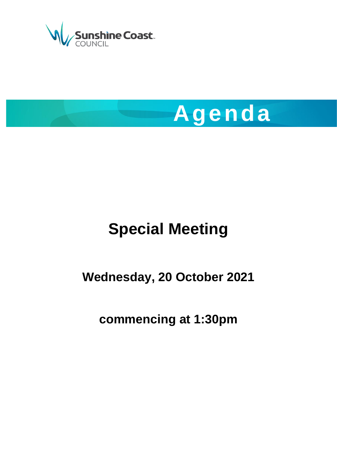



# **Special Meeting**

## **Wednesday, 20 October 2021**

## **commencing at 1:30pm**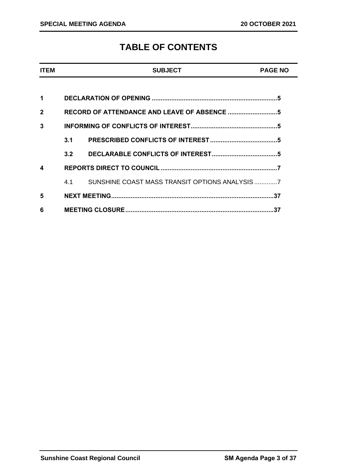### **TABLE OF CONTENTS**

| <b>ITEM</b>  |     | <b>SUBJECT</b>                                   | <b>PAGE NO</b> |
|--------------|-----|--------------------------------------------------|----------------|
|              |     |                                                  |                |
| 1            |     |                                                  |                |
| $\mathbf{2}$ |     |                                                  |                |
| 3            |     |                                                  |                |
|              |     |                                                  |                |
|              | 3.2 |                                                  |                |
| 4            |     |                                                  |                |
|              |     | 4.1 SUNSHINE COAST MASS TRANSIT OPTIONS ANALYSIS |                |
| 5            |     |                                                  |                |
| 6            |     |                                                  |                |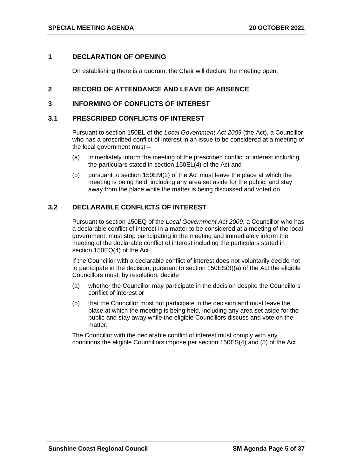#### <span id="page-4-0"></span>**1 DECLARATION OF OPENING**

On establishing there is a quorum, the Chair will declare the meeting open.

#### <span id="page-4-1"></span>**2 RECORD OF ATTENDANCE AND LEAVE OF ABSENCE**

#### <span id="page-4-2"></span>**3 INFORMING OF CONFLICTS OF INTEREST**

#### <span id="page-4-3"></span>**3.1 PRESCRIBED CONFLICTS OF INTEREST**

Pursuant to section 150EL of the *Local Government Act 2009* (the Act), a Councillor who has a prescribed conflict of interest in an issue to be considered at a meeting of the local government must –

- (a) immediately inform the meeting of the prescribed conflict of interest including the particulars stated in section 150EL(4) of the Act and
- (b) pursuant to section 150EM(2) of the Act must leave the place at which the meeting is being held, including any area set aside for the public, and stay away from the place while the matter is being discussed and voted on.

#### <span id="page-4-4"></span>**3.2 DECLARABLE CONFLICTS OF INTEREST**

Pursuant to section 150EQ of the *Local Government Act 2009*, a Councillor who has a declarable conflict of interest in a matter to be considered at a meeting of the local government, must stop participating in the meeting and immediately inform the meeting of the declarable conflict of interest including the particulars stated in section 150EQ(4) of the Act.

If the Councillor with a declarable conflict of interest does not voluntarily decide not to participate in the decision, pursuant to section 150ES(3)(a) of the Act the eligible Councillors must, by resolution, decide

- (a) whether the Councillor may participate in the decision despite the Councillors conflict of interest or
- (b) that the Councillor must not participate in the decision and must leave the place at which the meeting is being held, including any area set aside for the public and stay away while the eligible Councillors discuss and vote on the matter.

The Councillor with the declarable conflict of interest must comply with any conditions the eligible Councillors impose per section 150ES(4) and (5) of the Act.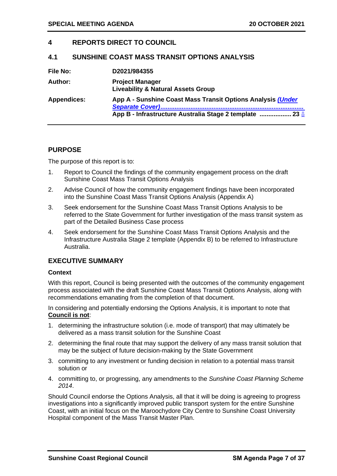#### <span id="page-6-0"></span>**4 REPORTS DIRECT TO COUNCIL**

#### <span id="page-6-1"></span>**4.1 SUNSHINE COAST MASS TRANSIT OPTIONS ANALYSIS**

| File No:           | D2021/984355                                                                                                           |
|--------------------|------------------------------------------------------------------------------------------------------------------------|
| Author:            | <b>Project Manager</b><br><b>Liveability &amp; Natural Assets Group</b>                                                |
| <b>Appendices:</b> | App A - Sunshine Coast Mass Transit Options Analysis (Under<br>App B - Infrastructure Australia Stage 2 template  23 0 |

#### **PURPOSE**

The purpose of this report is to:

- 1. Report to Council the findings of the community engagement process on the draft Sunshine Coast Mass Transit Options Analysis
- 2. Advise Council of how the community engagement findings have been incorporated into the Sunshine Coast Mass Transit Options Analysis (Appendix A)
- 3. Seek endorsement for the Sunshine Coast Mass Transit Options Analysis to be referred to the State Government for further investigation of the mass transit system as part of the Detailed Business Case process
- 4. Seek endorsement for the Sunshine Coast Mass Transit Options Analysis and the Infrastructure Australia Stage 2 template (Appendix B) to be referred to Infrastructure Australia.

#### **EXECUTIVE SUMMARY**

#### **Context**

With this report, Council is being presented with the outcomes of the community engagement process associated with the draft Sunshine Coast Mass Transit Options Analysis, along with recommendations emanating from the completion of that document.

In considering and potentially endorsing the Options Analysis, it is important to note that **Council is not**:

- 1. determining the infrastructure solution (i.e. mode of transport) that may ultimately be delivered as a mass transit solution for the Sunshine Coast
- 2. determining the final route that may support the delivery of any mass transit solution that may be the subject of future decision-making by the State Government
- 3. committing to any investment or funding decision in relation to a potential mass transit solution or
- 4. committing to, or progressing, any amendments to the *Sunshine Coast Planning Scheme 2014*.

Should Council endorse the Options Analysis, all that it will be doing is agreeing to progress investigations into a significantly improved public transport system for the entire Sunshine Coast, with an initial focus on the Maroochydore City Centre to Sunshine Coast University Hospital component of the Mass Transit Master Plan.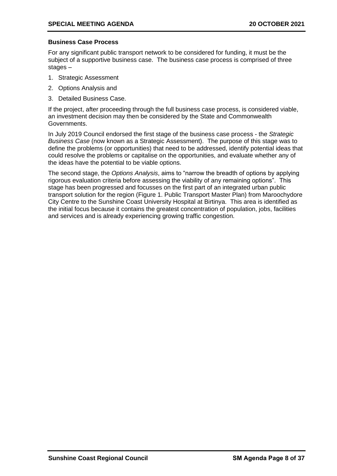#### **Business Case Process**

For any significant public transport network to be considered for funding, it must be the subject of a supportive business case. The business case process is comprised of three stages –

- 1. Strategic Assessment
- 2. Options Analysis and
- 3. Detailed Business Case.

If the project, after proceeding through the full business case process, is considered viable, an investment decision may then be considered by the State and Commonwealth Governments.

In July 2019 Council endorsed the first stage of the business case process - the *Strategic Business Case* (now known as a Strategic Assessment). The purpose of this stage was to define the problems (or opportunities) that need to be addressed, identify potential ideas that could resolve the problems or capitalise on the opportunities, and evaluate whether any of the ideas have the potential to be viable options.

The second stage, the *Options Analysis*, aims to "narrow the breadth of options by applying rigorous evaluation criteria before assessing the viability of any remaining options". This stage has been progressed and focusses on the first part of an integrated urban public transport solution for the region (Figure 1. Public Transport Master Plan) from Maroochydore City Centre to the Sunshine Coast University Hospital at Birtinya. This area is identified as the initial focus because it contains the greatest concentration of population, jobs, facilities and services and is already experiencing growing traffic congestion.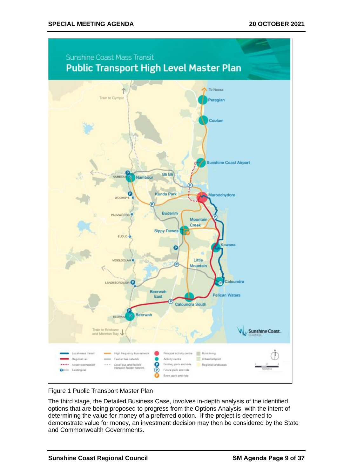

Figure 1 Public Transport Master Plan

The third stage, the Detailed Business Case, involves in-depth analysis of the identified options that are being proposed to progress from the Options Analysis, with the intent of determining the value for money of a preferred option. If the project is deemed to demonstrate value for money, an investment decision may then be considered by the State and Commonwealth Governments.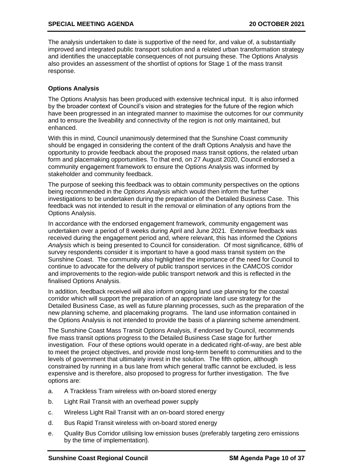The analysis undertaken to date is supportive of the need for, and value of, a substantially improved and integrated public transport solution and a related urban transformation strategy and identifies the unacceptable consequences of not pursuing these. The Options Analysis also provides an assessment of the shortlist of options for Stage 1 of the mass transit response.

#### **Options Analysis**

The Options Analysis has been produced with extensive technical input. It is also informed by the broader context of Council's vision and strategies for the future of the region which have been progressed in an integrated manner to maximise the outcomes for our community and to ensure the liveability and connectivity of the region is not only maintained, but enhanced.

With this in mind, Council unanimously determined that the Sunshine Coast community should be engaged in considering the content of the draft Options Analysis and have the opportunity to provide feedback about the proposed mass transit options, the related urban form and placemaking opportunities. To that end, on 27 August 2020, Council endorsed a community engagement framework to ensure the Options Analysis was informed by stakeholder and community feedback.

The purpose of seeking this feedback was to obtain community perspectives on the options being recommended in the *Options Analysis* which would then inform the further investigations to be undertaken during the preparation of the Detailed Business Case. This feedback was not intended to result in the removal or elimination of any options from the Options Analysis.

In accordance with the endorsed engagement framework, community engagement was undertaken over a period of 8 weeks during April and June 2021. Extensive feedback was received during the engagement period and, where relevant, this has informed the *Options Analysis* which is being presented to Council for consideration. Of most significance, 68% of survey respondents consider it is important to have a good mass transit system on the Sunshine Coast. The community also highlighted the importance of the need for Council to continue to advocate for the delivery of public transport services in the CAMCOS corridor and improvements to the region-wide public transport network and this is reflected in the finalised Options Analysis.

In addition, feedback received will also inform ongoing land use planning for the coastal corridor which will support the preparation of an appropriate land use strategy for the Detailed Business Case, as well as future planning processes, such as the preparation of the new planning scheme, and placemaking programs. The land use information contained in the Options Analysis is not intended to provide the basis of a planning scheme amendment.

The Sunshine Coast Mass Transit Options Analysis, if endorsed by Council, recommends five mass transit options progress to the Detailed Business Case stage for further investigation. Four of these options would operate in a dedicated right-of-way, are best able to meet the project objectives, and provide most long-term benefit to communities and to the levels of government that ultimately invest in the solution. The fifth option, although constrained by running in a bus lane from which general traffic cannot be excluded, is less expensive and is therefore, also proposed to progress for further investigation. The five options are:

- a. A Trackless Tram wireless with on-board stored energy
- b. Light Rail Transit with an overhead power supply
- c. Wireless Light Rail Transit with an on-board stored energy
- d. Bus Rapid Transit wireless with on-board stored energy
- e. Quality Bus Corridor utilising low emission buses (preferably targeting zero emissions by the time of implementation).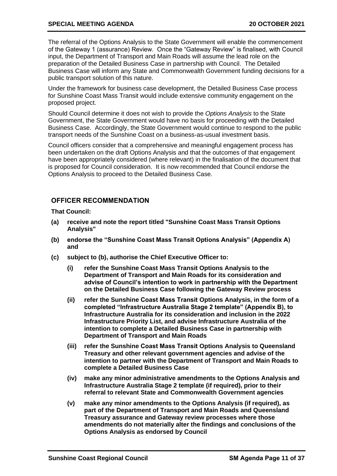#### **SPECIAL MEETING AGENDA 20 OCTOBER 2021**

The referral of the Options Analysis to the State Government will enable the commencement of the Gateway 1 (assurance) Review. Once the "Gateway Review" is finalised, with Council input, the Department of Transport and Main Roads will assume the lead role on the preparation of the Detailed Business Case in partnership with Council. The Detailed Business Case will inform any State and Commonwealth Government funding decisions for a public transport solution of this nature.

Under the framework for business case development, the Detailed Business Case process for Sunshine Coast Mass Transit would include extensive community engagement on the proposed project.

Should Council determine it does not wish to provide the *Options Analysis* to the State Government, the State Government would have no basis for proceeding with the Detailed Business Case. Accordingly, the State Government would continue to respond to the public transport needs of the Sunshine Coast on a business-as-usual investment basis.

Council officers consider that a comprehensive and meaningful engagement process has been undertaken on the draft Options Analysis and that the outcomes of that engagement have been appropriately considered (where relevant) in the finalisation of the document that is proposed for Council consideration. It is now recommended that Council endorse the Options Analysis to proceed to the Detailed Business Case.

#### **OFFICER RECOMMENDATION**

**That Council:**

- **(a) receive and note the report titled "Sunshine Coast Mass Transit Options Analysis"**
- **(b) endorse the "Sunshine Coast Mass Transit Options Analysis" (Appendix A) and**
- **(c) subject to (b), authorise the Chief Executive Officer to:** 
	- **(i) refer the Sunshine Coast Mass Transit Options Analysis to the Department of Transport and Main Roads for its consideration and advise of Council's intention to work in partnership with the Department on the Detailed Business Case following the Gateway Review process**
	- **(ii) refer the Sunshine Coast Mass Transit Options Analysis, in the form of a completed "Infrastructure Australia Stage 2 template" (Appendix B), to Infrastructure Australia for its consideration and inclusion in the 2022 Infrastructure Priority List, and advise Infrastructure Australia of the intention to complete a Detailed Business Case in partnership with Department of Transport and Main Roads**
	- **(iii) refer the Sunshine Coast Mass Transit Options Analysis to Queensland Treasury and other relevant government agencies and advise of the intention to partner with the Department of Transport and Main Roads to complete a Detailed Business Case**
	- **(iv) make any minor administrative amendments to the Options Analysis and Infrastructure Australia Stage 2 template (if required), prior to their referral to relevant State and Commonwealth Government agencies**
	- **(v) make any minor amendments to the Options Analysis (if required), as part of the Department of Transport and Main Roads and Queensland Treasury assurance and Gateway review processes where those amendments do not materially alter the findings and conclusions of the Options Analysis as endorsed by Council**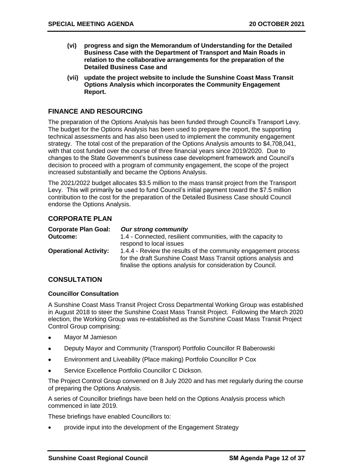- **(vi) progress and sign the Memorandum of Understanding for the Detailed Business Case with the Department of Transport and Main Roads in relation to the collaborative arrangements for the preparation of the Detailed Business Case and**
- **(vii) update the project website to include the Sunshine Coast Mass Transit Options Analysis which incorporates the Community Engagement Report.**

#### **FINANCE AND RESOURCING**

The preparation of the Options Analysis has been funded through Council's Transport Levy. The budget for the Options Analysis has been used to prepare the report, the supporting technical assessments and has also been used to implement the community engagement strategy. The total cost of the preparation of the Options Analysis amounts to \$4,708,041, with that cost funded over the course of three financial years since 2019/2020. Due to changes to the State Government's business case development framework and Council's decision to proceed with a program of community engagement, the scope of the project increased substantially and became the Options Analysis.

The 2021/2022 budget allocates \$3.5 million to the mass transit project from the Transport Levy. This will primarily be used to fund Council's initial payment toward the \$7.5 million contribution to the cost for the preparation of the Detailed Business Case should Council endorse the Options Analysis.

#### **CORPORATE PLAN**

| <b>Corporate Plan Goal:</b>  | <b>Our strong community</b>                                                                                                                                                                     |
|------------------------------|-------------------------------------------------------------------------------------------------------------------------------------------------------------------------------------------------|
| <b>Outcome:</b>              | 1.4 - Connected, resilient communities, with the capacity to<br>respond to local issues                                                                                                         |
| <b>Operational Activity:</b> | 1.4.4 - Review the results of the community engagement process<br>for the draft Sunshine Coast Mass Transit options analysis and<br>finalise the options analysis for consideration by Council. |

#### **CONSULTATION**

#### **Councillor Consultation**

A Sunshine Coast Mass Transit Project Cross Departmental Working Group was established in August 2018 to steer the Sunshine Coast Mass Transit Project. Following the March 2020 election, the Working Group was re-established as the Sunshine Coast Mass Transit Project Control Group comprising:

- Mayor M Jamieson
- Deputy Mayor and Community (Transport) Portfolio Councillor R Baberowski
- Environment and Liveability (Place making) Portfolio Councillor P Cox
- Service Excellence Portfolio Councillor C Dickson.

The Project Control Group convened on 8 July 2020 and has met regularly during the course of preparing the Options Analysis.

A series of Councillor briefings have been held on the Options Analysis process which commenced in late 2019.

These briefings have enabled Councillors to:

• provide input into the development of the Engagement Strategy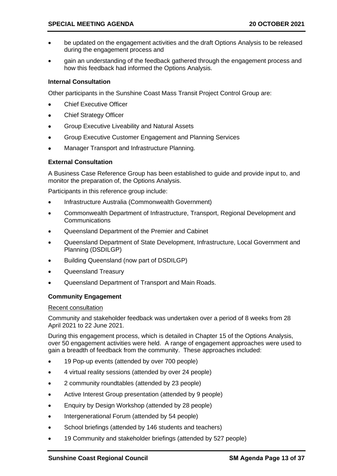- be updated on the engagement activities and the draft Options Analysis to be released during the engagement process and
- gain an understanding of the feedback gathered through the engagement process and how this feedback had informed the Options Analysis.

#### **Internal Consultation**

Other participants in the Sunshine Coast Mass Transit Project Control Group are:

- **Chief Executive Officer**
- **Chief Strategy Officer**
- Group Executive Liveability and Natural Assets
- Group Executive Customer Engagement and Planning Services
- Manager Transport and Infrastructure Planning.

#### **External Consultation**

A Business Case Reference Group has been established to guide and provide input to, and monitor the preparation of, the Options Analysis.

Participants in this reference group include:

- Infrastructure Australia (Commonwealth Government)
- Commonwealth Department of Infrastructure, Transport, Regional Development and **Communications**
- Queensland Department of the Premier and Cabinet
- Queensland Department of State Development, Infrastructure, Local Government and Planning (DSDILGP)
- Building Queensland (now part of DSDILGP)
- Queensland Treasury
- Queensland Department of Transport and Main Roads.

#### **Community Engagement**

#### Recent consultation

Community and stakeholder feedback was undertaken over a period of 8 weeks from 28 April 2021 to 22 June 2021.

During this engagement process, which is detailed in Chapter 15 of the Options Analysis, over 50 engagement activities were held. A range of engagement approaches were used to gain a breadth of feedback from the community. These approaches included:

- 19 Pop-up events (attended by over 700 people)
- 4 virtual reality sessions (attended by over 24 people)
- 2 community roundtables (attended by 23 people)
- Active Interest Group presentation (attended by 9 people)
- Enquiry by Design Workshop (attended by 28 people)
- Intergenerational Forum (attended by 54 people)
- School briefings (attended by 146 students and teachers)
- 19 Community and stakeholder briefings (attended by 527 people)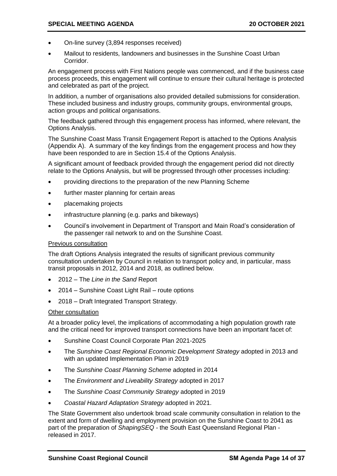- On-line survey (3,894 responses received)
- Mailout to residents, landowners and businesses in the Sunshine Coast Urban Corridor.

An engagement process with First Nations people was commenced, and if the business case process proceeds, this engagement will continue to ensure their cultural heritage is protected and celebrated as part of the project.

In addition, a number of organisations also provided detailed submissions for consideration. These included business and industry groups, community groups, environmental groups, action groups and political organisations.

The feedback gathered through this engagement process has informed, where relevant, the Options Analysis.

The Sunshine Coast Mass Transit Engagement Report is attached to the Options Analysis (Appendix A). A summary of the key findings from the engagement process and how they have been responded to are in Section 15.4 of the Options Analysis.

A significant amount of feedback provided through the engagement period did not directly relate to the Options Analysis, but will be progressed through other processes including:

- providing directions to the preparation of the new Planning Scheme
- further master planning for certain areas
- placemaking projects
- infrastructure planning (e.g. parks and bikeways)
- Council's involvement in Department of Transport and Main Road's consideration of the passenger rail network to and on the Sunshine Coast.

#### Previous consultation

The draft Options Analysis integrated the results of significant previous community consultation undertaken by Council in relation to transport policy and, in particular, mass transit proposals in 2012, 2014 and 2018, as outlined below.

- 2012 The *Line in the Sand* Report
- 2014 Sunshine Coast Light Rail route options
- 2018 Draft Integrated Transport Strategy.

#### Other consultation

At a broader policy level, the implications of accommodating a high population growth rate and the critical need for improved transport connections have been an important facet of:

- Sunshine Coast Council Corporate Plan 2021-2025
- The *Sunshine Coast Regional Economic Development Strategy* adopted in 2013 and with an updated Implementation Plan in 2019
- The *Sunshine Coast Planning Scheme* adopted in 2014
- The *Environment and Liveability Strategy* adopted in 2017
- The *Sunshine Coast Community Strategy* adopted in 2019
- *Coastal Hazard Adaptation Strategy* adopted in 2021.

The State Government also undertook broad scale community consultation in relation to the extent and form of dwelling and employment provision on the Sunshine Coast to 2041 as part of the preparation of *ShapingSEQ -* the South East Queensland Regional Plan released in 2017.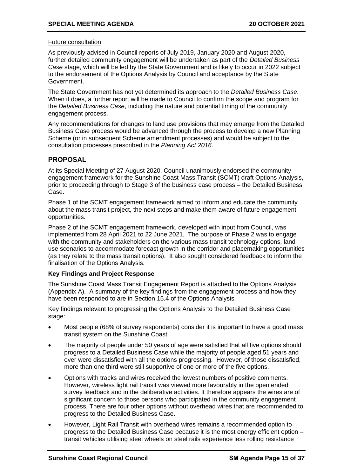#### Future consultation

As previously advised in Council reports of July 2019, January 2020 and August 2020, further detailed community engagement will be undertaken as part of the *Detailed Business Case* stage, which will be led by the State Government and is likely to occur in 2022 subject to the endorsement of the Options Analysis by Council and acceptance by the State Government.

The State Government has not yet determined its approach to the *Detailed Business Case*. When it does, a further report will be made to Council to confirm the scope and program for the *Detailed Business Case*, including the nature and potential timing of the community engagement process.

Any recommendations for changes to land use provisions that may emerge from the Detailed Business Case process would be advanced through the process to develop a new Planning Scheme (or in subsequent Scheme amendment processes) and would be subject to the consultation processes prescribed in the *Planning Act 2016*.

#### **PROPOSAL**

At its Special Meeting of 27 August 2020, Council unanimously endorsed the community engagement framework for the Sunshine Coast Mass Transit (SCMT) draft Options Analysis, prior to proceeding through to Stage 3 of the business case process – the Detailed Business Case.

Phase 1 of the SCMT engagement framework aimed to inform and educate the community about the mass transit project, the next steps and make them aware of future engagement opportunities.

Phase 2 of the SCMT engagement framework, developed with input from Council, was implemented from 28 April 2021 to 22 June 2021. The purpose of Phase 2 was to engage with the community and stakeholders on the various mass transit technology options, land use scenarios to accommodate forecast growth in the corridor and placemaking opportunities (as they relate to the mass transit options). It also sought considered feedback to inform the finalisation of the Options Analysis.

#### **Key Findings and Project Response**

The Sunshine Coast Mass Transit Engagement Report is attached to the Options Analysis (Appendix A). A summary of the key findings from the engagement process and how they have been responded to are in Section 15.4 of the Options Analysis.

Key findings relevant to progressing the Options Analysis to the Detailed Business Case stage:

- Most people (68% of survey respondents) consider it is important to have a good mass transit system on the Sunshine Coast.
- The majority of people under 50 years of age were satisfied that all five options should progress to a Detailed Business Case while the majority of people aged 51 years and over were dissatisfied with all the options progressing. However, of those dissatisfied, more than one third were still supportive of one or more of the five options.
- Options with tracks and wires received the lowest numbers of positive comments. However, wireless light rail transit was viewed more favourably in the open ended survey feedback and in the deliberative activities. It therefore appears the wires are of significant concern to those persons who participated in the community engagement process. There are four other options without overhead wires that are recommended to progress to the Detailed Business Case.
- However, Light Rail Transit with overhead wires remains a recommended option to progress to the Detailed Business Case because it is the most energy efficient option – transit vehicles utilising steel wheels on steel rails experience less rolling resistance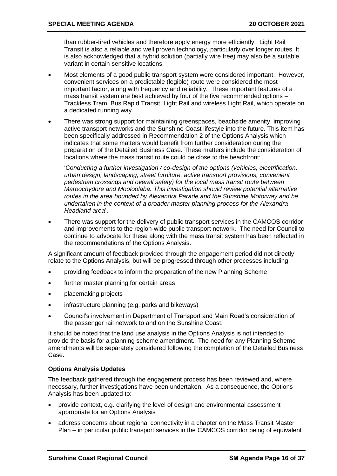than rubber-tired vehicles and therefore apply energy more efficiently. Light Rail Transit is also a reliable and well proven technology, particularly over longer routes. It is also acknowledged that a hybrid solution (partially wire free) may also be a suitable variant in certain sensitive locations.

- Most elements of a good public transport system were considered important. However, convenient services on a predictable (legible) route were considered the most important factor, along with frequency and reliability. These important features of a mass transit system are best achieved by four of the five recommended options – Trackless Tram, Bus Rapid Transit, Light Rail and wireless Light Rail, which operate on a dedicated running way.
- There was strong support for maintaining greenspaces, beachside amenity, improving active transport networks and the Sunshine Coast lifestyle into the future. This item has been specifically addressed in Recommendation 2 of the Options Analysis which indicates that some matters would benefit from further consideration during the preparation of the Detailed Business Case. These matters include the consideration of locations where the mass transit route could be close to the beachfront:

'*Conducting a further investigation / co-design of the options (vehicles, electrification, urban design, landscaping, street furniture, active transport provisions, convenient pedestrian crossings and overall safety) for the local mass transit route between Maroochydore and Mooloolaba. This investigation should review potential alternative routes in the area bounded by Alexandra Parade and the Sunshine Motorway and be undertaken in the context of a broader master planning process for the Alexandra Headland area*'.

• There was support for the delivery of public transport services in the CAMCOS corridor and improvements to the region-wide public transport network. The need for Council to continue to advocate for these along with the mass transit system has been reflected in the recommendations of the Options Analysis.

A significant amount of feedback provided through the engagement period did not directly relate to the Options Analysis, but will be progressed through other processes including:

- providing feedback to inform the preparation of the new Planning Scheme
- further master planning for certain areas
- placemaking projects
- infrastructure planning (e.g. parks and bikeways)
- Council's involvement in Department of Transport and Main Road's consideration of the passenger rail network to and on the Sunshine Coast.

It should be noted that the land use analysis in the Options Analysis is not intended to provide the basis for a planning scheme amendment. The need for any Planning Scheme amendments will be separately considered following the completion of the Detailed Business Case.

#### **Options Analysis Updates**

The feedback gathered through the engagement process has been reviewed and, where necessary, further investigations have been undertaken. As a consequence, the Options Analysis has been updated to:

- provide context, e.g. clarifying the level of design and environmental assessment appropriate for an Options Analysis
- address concerns about regional connectivity in a chapter on the Mass Transit Master Plan – in particular public transport services in the CAMCOS corridor being of equivalent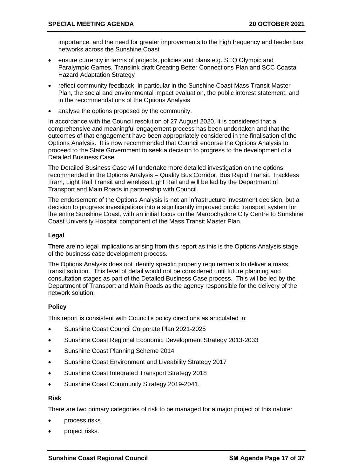importance, and the need for greater improvements to the high frequency and feeder bus networks across the Sunshine Coast

- ensure currency in terms of projects, policies and plans e.g. SEQ Olympic and Paralympic Games, Translink draft Creating Better Connections Plan and SCC Coastal Hazard Adaptation Strategy
- reflect community feedback, in particular in the Sunshine Coast Mass Transit Master Plan, the social and environmental impact evaluation, the public interest statement, and in the recommendations of the Options Analysis
- analyse the options proposed by the community.

In accordance with the Council resolution of 27 August 2020, it is considered that a comprehensive and meaningful engagement process has been undertaken and that the outcomes of that engagement have been appropriately considered in the finalisation of the Options Analysis. It is now recommended that Council endorse the Options Analysis to proceed to the State Government to seek a decision to progress to the development of a Detailed Business Case.

The Detailed Business Case will undertake more detailed investigation on the options recommended in the Options Analysis – Quality Bus Corridor, Bus Rapid Transit, Trackless Tram, Light Rail Transit and wireless Light Rail and will be led by the Department of Transport and Main Roads in partnership with Council.

The endorsement of the Options Analysis is not an infrastructure investment decision, but a decision to progress investigations into a significantly improved public transport system for the entire Sunshine Coast, with an initial focus on the Maroochydore City Centre to Sunshine Coast University Hospital component of the Mass Transit Master Plan.

#### **Legal**

There are no legal implications arising from this report as this is the Options Analysis stage of the business case development process.

The Options Analysis does not identify specific property requirements to deliver a mass transit solution. This level of detail would not be considered until future planning and consultation stages as part of the Detailed Business Case process. This will be led by the Department of Transport and Main Roads as the agency responsible for the delivery of the network solution.

#### **Policy**

This report is consistent with Council's policy directions as articulated in:

- Sunshine Coast Council Corporate Plan 2021-2025
- Sunshine Coast Regional Economic Development Strategy 2013-2033
- Sunshine Coast Planning Scheme 2014
- Sunshine Coast Environment and Liveability Strategy 2017
- Sunshine Coast Integrated Transport Strategy 2018
- Sunshine Coast Community Strategy 2019-2041.

#### **Risk**

There are two primary categories of risk to be managed for a major project of this nature:

- process risks
- project risks.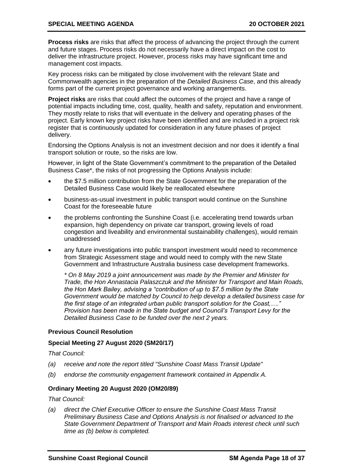#### **SPECIAL MEETING AGENDA 20 OCTOBER 2021**

**Process risks** are risks that affect the process of advancing the project through the current and future stages. Process risks do not necessarily have a direct impact on the cost to deliver the infrastructure project. However, process risks may have significant time and management cost impacts.

Key process risks can be mitigated by close involvement with the relevant State and Commonwealth agencies in the preparation of the *Detailed Business Case*, and this already forms part of the current project governance and working arrangements.

**Project risks** are risks that could affect the outcomes of the project and have a range of potential impacts including time, cost, quality, health and safety, reputation and environment. They mostly relate to risks that will eventuate in the delivery and operating phases of the project. Early known key project risks have been identified and are included in a project risk register that is continuously updated for consideration in any future phases of project delivery.

Endorsing the Options Analysis is not an investment decision and nor does it identify a final transport solution or route, so the risks are low.

However, in light of the State Government's commitment to the preparation of the Detailed Business Case\*, the risks of not progressing the Options Analysis include:

- the \$7.5 million contribution from the State Government for the preparation of the Detailed Business Case would likely be reallocated elsewhere
- business-as-usual investment in public transport would continue on the Sunshine Coast for the foreseeable future
- the problems confronting the Sunshine Coast (i.e. accelerating trend towards urban expansion, high dependency on private car transport, growing levels of road congestion and liveability and environmental sustainability challenges), would remain unaddressed
- any future investigations into public transport investment would need to recommence from Strategic Assessment stage and would need to comply with the new State Government and Infrastructure Australia business case development frameworks.

*\* On 8 May 2019 a joint announcement was made by the Premier and Minister for Trade, the Hon Annastacia Palaszczuk and the Minister for Transport and Main Roads, the Hon Mark Bailey, advising a "contribution of up to \$7.5 million by the State Government would be matched by Council to help develop a detailed business case for the first stage of an integrated urban public transport solution for the Coast,…." Provision has been made in the State budget and Council's Transport Levy for the Detailed Business Case to be funded over the next 2 years.*

#### **Previous Council Resolution**

#### **Special Meeting 27 August 2020 (SM20/17)**

*That Council:* 

- *(a) receive and note the report titled "Sunshine Coast Mass Transit Update"*
- *(b) endorse the community engagement framework contained in Appendix A.*

#### **Ordinary Meeting 20 August 2020 (OM20/89)**

*That Council:* 

*(a) direct the Chief Executive Officer to ensure the Sunshine Coast Mass Transit Preliminary Business Case and Options Analysis is not finalised or advanced to the State Government Department of Transport and Main Roads interest check until such time as (b) below is completed.*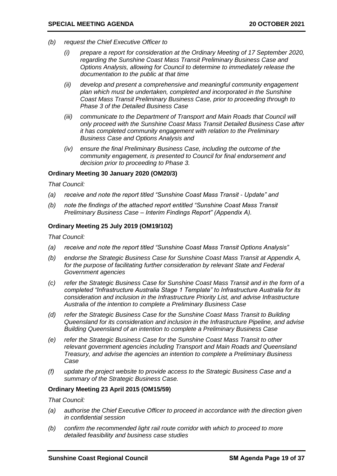- *(b) request the Chief Executive Officer to*
	- *(i) prepare a report for consideration at the Ordinary Meeting of 17 September 2020, regarding the Sunshine Coast Mass Transit Preliminary Business Case and Options Analysis, allowing for Council to determine to immediately release the documentation to the public at that time*
	- *(ii) develop and present a comprehensive and meaningful community engagement plan which must be undertaken, completed and incorporated in the Sunshine Coast Mass Transit Preliminary Business Case, prior to proceeding through to Phase 3 of the Detailed Business Case*
	- *(iii) communicate to the Department of Transport and Main Roads that Council will only proceed with the Sunshine Coast Mass Transit Detailed Business Case after it has completed community engagement with relation to the Preliminary Business Case and Options Analysis and*
	- *(iv) ensure the final Preliminary Business Case, including the outcome of the community engagement, is presented to Council for final endorsement and decision prior to proceeding to Phase 3.*

#### **Ordinary Meeting 30 January 2020 (OM20/3)**

*That Council:*

- *(a) receive and note the report titled "Sunshine Coast Mass Transit - Update" and*
- *(b) note the findings of the attached report entitled "Sunshine Coast Mass Transit Preliminary Business Case – Interim Findings Report" (Appendix A).*

#### **Ordinary Meeting 25 July 2019 (OM19/102)**

*That Council:* 

- *(a) receive and note the report titled "Sunshine Coast Mass Transit Options Analysis"*
- *(b) endorse the Strategic Business Case for Sunshine Coast Mass Transit at Appendix A,*  for the purpose of facilitating further consideration by relevant State and Federal *Government agencies*
- *(c) refer the Strategic Business Case for Sunshine Coast Mass Transit and in the form of a completed "Infrastructure Australia Stage 1 Template" to Infrastructure Australia for its consideration and inclusion in the Infrastructure Priority List, and advise Infrastructure Australia of the intention to complete a Preliminary Business Case*
- *(d) refer the Strategic Business Case for the Sunshine Coast Mass Transit to Building Queensland for its consideration and inclusion in the Infrastructure Pipeline, and advise Building Queensland of an intention to complete a Preliminary Business Case*
- *(e) refer the Strategic Business Case for the Sunshine Coast Mass Transit to other relevant government agencies including Transport and Main Roads and Queensland Treasury, and advise the agencies an intention to complete a Preliminary Business Case*
- *(f) update the project website to provide access to the Strategic Business Case and a summary of the Strategic Business Case.*

#### **Ordinary Meeting 23 April 2015 (OM15/59)**

*That Council:*

- *(a) authorise the Chief Executive Officer to proceed in accordance with the direction given in confidential session*
- *(b) confirm the recommended light rail route corridor with which to proceed to more detailed feasibility and business case studies*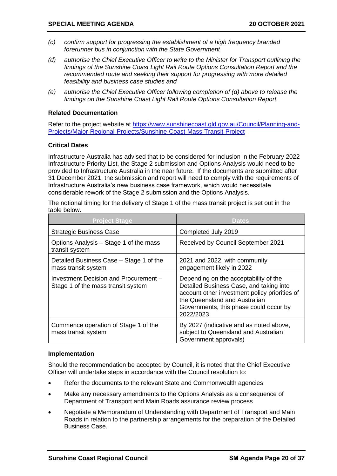- *(c) confirm support for progressing the establishment of a high frequency branded forerunner bus in conjunction with the State Government*
- *(d) authorise the Chief Executive Officer to write to the Minister for Transport outlining the findings of the Sunshine Coast Light Rail Route Options Consultation Report and the recommended route and seeking their support for progressing with more detailed feasibility and business case studies and*
- *(e) authorise the Chief Executive Officer following completion of (d) above to release the findings on the Sunshine Coast Light Rail Route Options Consultation Report.*

#### **Related Documentation**

Refer to the project website at [https://www.sunshinecoast.qld.gov.au/Council/Planning-and-](https://www.sunshinecoast.qld.gov.au/Council/Planning-and-Projects/Major-Regional-Projects/Sunshine-Coast-Mass-Transit-Project)[Projects/Major-Regional-Projects/Sunshine-Coast-Mass-Transit-Project](https://www.sunshinecoast.qld.gov.au/Council/Planning-and-Projects/Major-Regional-Projects/Sunshine-Coast-Mass-Transit-Project)

#### **Critical Dates**

Infrastructure Australia has advised that to be considered for inclusion in the February 2022 Infrastructure Priority List, the Stage 2 submission and Options Analysis would need to be provided to Infrastructure Australia in the near future. If the documents are submitted after 31 December 2021, the submission and report will need to comply with the requirements of Infrastructure Australia's new business case framework, which would necessitate considerable rework of the Stage 2 submission and the Options Analysis.

The notional timing for the delivery of Stage 1 of the mass transit project is set out in the table below.

| <b>Project Stage</b>                                                        | <b>Dates</b>                                                                                                                                                                                                              |
|-----------------------------------------------------------------------------|---------------------------------------------------------------------------------------------------------------------------------------------------------------------------------------------------------------------------|
| <b>Strategic Business Case</b>                                              | Completed July 2019                                                                                                                                                                                                       |
| Options Analysis – Stage 1 of the mass<br>transit system                    | Received by Council September 2021                                                                                                                                                                                        |
| Detailed Business Case - Stage 1 of the<br>mass transit system              | 2021 and 2022, with community<br>engagement likely in 2022                                                                                                                                                                |
| Investment Decision and Procurement -<br>Stage 1 of the mass transit system | Depending on the acceptability of the<br>Detailed Business Case, and taking into<br>account other investment policy priorities of<br>the Queensland and Australian<br>Governments, this phase could occur by<br>2022/2023 |
| Commence operation of Stage 1 of the<br>mass transit system                 | By 2027 (indicative and as noted above,<br>subject to Queensland and Australian<br>Government approvals)                                                                                                                  |

#### **Implementation**

Should the recommendation be accepted by Council, it is noted that the Chief Executive Officer will undertake steps in accordance with the Council resolution to:

- Refer the documents to the relevant State and Commonwealth agencies
- Make any necessary amendments to the Options Analysis as a consequence of Department of Transport and Main Roads assurance review process
- Negotiate a Memorandum of Understanding with Department of Transport and Main Roads in relation to the partnership arrangements for the preparation of the Detailed Business Case.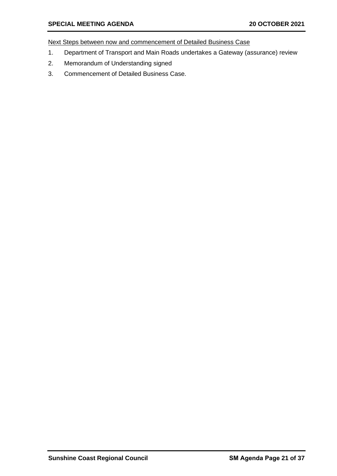Next Steps between now and commencement of Detailed Business Case

- 1. Department of Transport and Main Roads undertakes a Gateway (assurance) review
- 2. Memorandum of Understanding signed
- 3. Commencement of Detailed Business Case.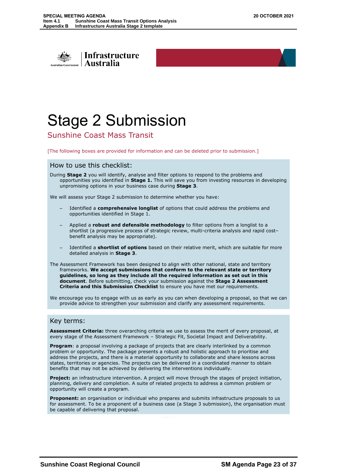<span id="page-22-0"></span>

# Stage 2 Submission

Sunshine Coast Mass Transit

[The following boxes are provided for information and can be deleted prior to submission.]

#### How to use this checklist:

During **Stage 2** you will identify, analyse and filter options to respond to the problems and opportunities you identified in **Stage 1.** This will save you from investing resources in developing unpromising options in your business case during **Stage 3**.

OFFICIAL

We will assess your Stage 2 submission to determine whether you have:

- Identified a **comprehensive longlist** of options that could address the problems and opportunities identified in Stage 1.
- Applied a **robust and defensible methodology** to filter options from a longlist to a shortlist (a progressive process of strategic review, multi-criteria analysis and rapid cost– benefit analysis may be appropriate).
- Identified a **shortlist of options** based on their relative merit, which are suitable for more detailed analysis in **Stage 3**.
- The Assessment Framework has been designed to align with other national, state and territory frameworks. **We accept submissions that conform to the relevant state or territory guidelines, so long as they include all the required information as set out in this document**. Before submitting, check your submission against the **Stage 2 Assessment Criteria and this Submission Checklist** to ensure you have met our requirements.

We encourage you to engage with us as early as you can when developing a proposal, so that we can provide advice to strengthen your submission and clarify any assessment requirements.

#### Key terms:

**Assessment Criteria:** three overarching criteria we use to assess the merit of every proposal, at every stage of the Assessment Framework – Strategic Fit, Societal Impact and Deliverability.

**Program**: a proposal involving a package of projects that are clearly interlinked by a common problem or opportunity. The package presents a robust and holistic approach to prioritise and address the projects, and there is a material opportunity to collaborate and share lessons across states, territories or agencies. The projects can be delivered in a coordinated manner to obtain benefits that may not be achieved by delivering the interventions individually.

**Project:** an infrastructure intervention. A project will move through the stages of project initiation, planning, delivery and completion. A suite of related projects to address a common problem or opportunity will create a program.

**Proponent:** an organisation or individual who prepares and submits infrastructure proposals to us for assessment. To be a proponent of a business case (a Stage 3 submission), the organisation must be capable of delivering that proposal.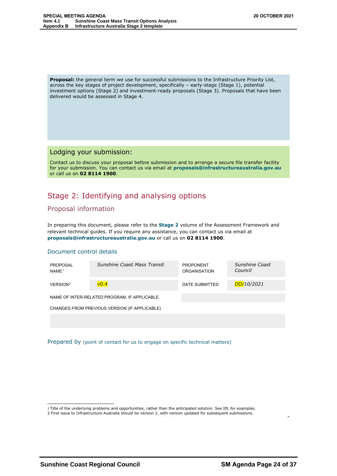**Proposal:** the general term we use for successful submissions to the Infrastructure Priority List, across the key stages of project development, specifically – early-stage (Stage 1), potential investment options (Stage 2) and investment-ready proposals (Stage 3). Proposals that have been delivered would be assessed in Stage 4.

#### Lodging your submission:

Contact us to discuss your proposal before submission and to arrange a secure file transfer facility for your submission. You can contact us via email at **proposals@infrastructureaustralia.gov.au** or call us on **02 8114 1900**.

### Stage 2: Identifying and analysing options

#### Proposal information

In preparing this document, please refer to the **Stage 2** volume of the Assessment Framework and relevant technical guides. If you require any assistance, you can contact us via email at **proposals@infrastructureaustralia.gov.au** or call us on **02 8114 1900**.

#### Document control details

| PROPOSAL<br>NAME <sup>1</sup> | Sunshine Coast Mass Transit                   | <b>PROPONENT</b><br><b>ORGANISATION</b> | Sunshine Coast<br>Council |
|-------------------------------|-----------------------------------------------|-----------------------------------------|---------------------------|
| VERSION <sup>2</sup>          | V <sub>0.4</sub>                              | DATE SUBMITTED                          | DD/10/2021                |
|                               | NAME OF INTER-RELATED PROGRAM, IF APPLICABLE. |                                         |                           |
|                               | CHANGES FROM PREVIOUS VERSION (IF APPLICABLE) |                                         |                           |
|                               |                                               |                                         |                           |

Prepared by (point of contact for us to engage on specific technical matters)

<sup>1</sup> Title of the underlying problems and opportunities, rather than the anticipated solution. See IPL for examples.

<sup>2</sup> First issue to Infrastructure Australia should be version 1, with version updated for subsequent submissions.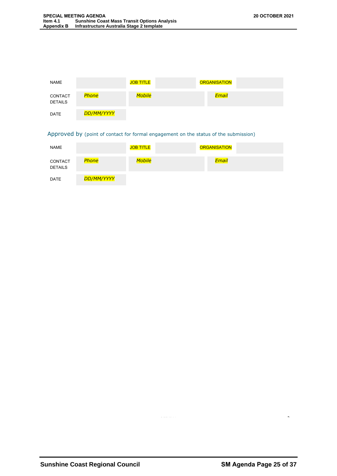| <b>NAME</b>               |            | <b>JOB TITLE</b> | <b>ORGANISATION</b> |  |
|---------------------------|------------|------------------|---------------------|--|
| CONTACT<br><b>DETAILS</b> | Phone      | <b>Mobile</b>    | Email               |  |
| <b>DATE</b>               | DD/MM/YYYY |                  |                     |  |

Approved by (point of contact for formal engagement on the status of the submission)

| <b>NAME</b>               |            | <b>JOB TITLE</b> | <b>ORGANISATION</b> |  |
|---------------------------|------------|------------------|---------------------|--|
| CONTACT<br><b>DETAILS</b> | Phone      | <b>Mobile</b>    | <b>Email</b>        |  |
| <b>DATE</b>               | DD/MM/YYYY |                  |                     |  |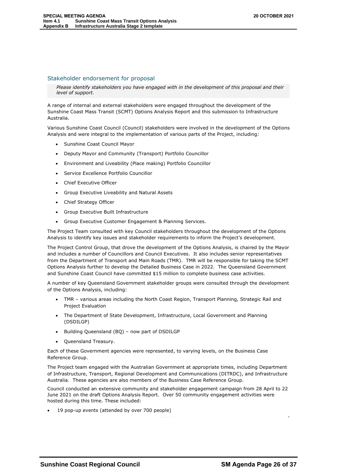#### Stakeholder endorsement for proposal

*Please identify stakeholders you have engaged with in the development of this proposal and their level of support.*

A range of internal and external stakeholders were engaged throughout the development of the Sunshine Coast Mass Transit (SCMT) Options Analysis Report and this submission to Infrastructure Australia.

Various Sunshine Coast Council (Council) stakeholders were involved in the development of the Options Analysis and were integral to the implementation of various parts of the Project, including:

- Sunshine Coast Council Mayor
- Deputy Mayor and Community (Transport) Portfolio Councillor
- Environment and Liveability (Place making) Portfolio Councillor
- Service Excellence Portfolio Councillor
- Chief Executive Officer
- Group Executive Liveability and Natural Assets
- Chief Strategy Officer
- Group Executive Built Infrastructure
- Group Executive Customer Engagement & Planning Services.

The Project Team consulted with key Council stakeholders throughout the development of the Options Analysis to identify key issues and stakeholder requirements to inform the Project's development.

The Project Control Group, that drove the development of the Options Analysis, is chaired by the Mayor and includes a number of Councillors and Council Executives. It also includes senior representatives from the Department of Transport and Main Roads (TMR). TMR will be responsible for taking the SCMT Options Analysis further to develop the Detailed Business Case in 2022. The Queensland Government and Sunshine Coast Council have committed \$15 million to complete business case activities.

A number of key Queensland Government stakeholder groups were consulted through the development of the Options Analysis, including:

- TMR various areas including the North Coast Region, Transport Planning, Strategic Rail and Project Evaluation
- The Department of State Development, Infrastructure, Local Government and Planning (DSDILGP)
- Building Queensland (BQ) now part of DSDILGP
- Queensland Treasury.

Each of these Government agencies were represented, to varying levels, on the Business Case Reference Group.

The Project team engaged with the Australian Government at appropriate times, including Department of Infrastructure, Transport, Regional Development and Communications (DITRDC), and Infrastructure Australia. These agencies are also members of the Business Case Reference Group.

Council conducted an extensive community and stakeholder engagement campaign from 28 April to 22 June 2021 on the draft Options Analysis Report. Over 50 community engagement activities were hosted during this time. These included:

19 pop-up events (attended by over 700 people)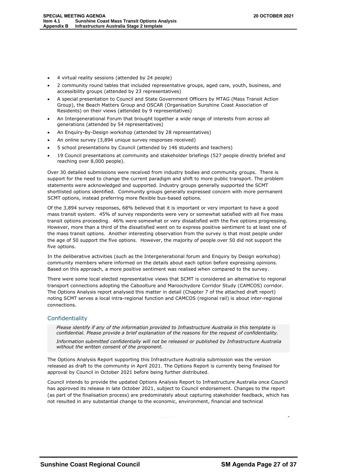- 4 virtual reality sessions (attended by 24 people)
- 2 community round tables that included representative groups, aged care, youth, business, and accessibility groups (attended by 23 representatives)
- A special presentation to Council and State Government Officers by MTAG (Mass Transit Action Group), the Beach Matters Group and OSCAR (Organisation Sunshine Coast Association of Residents) on their views (attended by 9 representatives)
- An Intergenerational Forum that brought together a wide range of interests from across all generations (attended by 54 representatives)
- An Enquiry-By-Design workshop (attended by 28 representatives)
- An online survey (3,894 unique survey responses received)
- 5 school presentations by Council (attended by 146 students and teachers)
- 19 Council presentations at community and stakeholder briefings (527 people directly briefed and reaching over 8,000 people).

Over 30 detailed submissions were received from industry bodies and community groups. There is support for the need to change the current paradigm and shift to more public transport. The problem statements were acknowledged and supported. Industry groups generally supported the SCMT shortlisted options identified. Community groups generally expressed concern with more permanent SCMT options, instead preferring more flexible bus-based options.

Of the 3,894 survey responses, 68% believed that it is important or very important to have a good mass transit system. 45% of survey respondents were very or somewhat satisfied with all five mass transit options proceeding. 46% were somewhat or very dissatisfied with the five options progressing. However, more than a third of the dissatisfied went on to express positive sentiment to at least one of the mass transit options. Another interesting observation from the survey is that most people under the age of 50 support the five options. However, the majority of people over 50 did not support the five options.

In the deliberative activities (such as the Intergenerational forum and Enquiry by Design workshop) community members where informed on the details about each option before expressing opinions. Based on this approach, a more positive sentiment was realised when compared to the survey.

There were some local elected representative views that SCMT is considered an alternative to regional transport connections adopting the Caboolture and Maroochydore Corridor Study (CAMCOS) corridor. The Options Analysis report analysed this matter in detail (Chapter 7 of the attached draft report) noting SCMT serves a local intra-regional function and CAMCOS (regional rail) is about inter-regional connections.

#### Confidentiality

*Please identify if any of the information provided to Infrastructure Australia in this template is confidential. Please provide a brief explanation of the reasons for the request of confidentiality. Information submitted confidentially will not be released or published by Infrastructure Australia without the written consent of the proponent.*

The Options Analysis Report supporting this Infrastructure Australia submission was the version released as draft to the community in April 2021. The Options Report is currently being finalised for approval by Council in October 2021 before being further distributed.

Council intends to provide the updated Options Analysis Report to Infrastructure Australia once Council has approved its release in late October 2021, subject to Council endorsement. Changes to the report (as part of the finalisation process) are predominately about capturing stakeholder feedback, which has not resulted in any substantial change to the economic, environment, financial and technical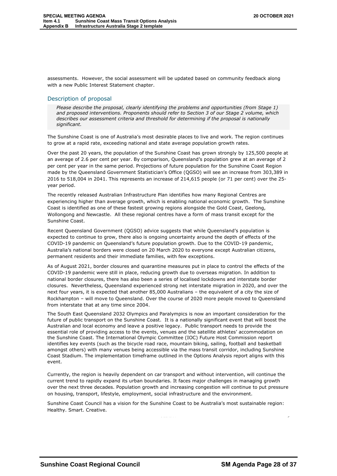assessments. However, the social assessment will be updated based on community feedback along with a new Public Interest Statement chapter.

#### Description of proposal

*Please describe the proposal, clearly identifying the problems and opportunities (from Stage 1) and proposed interventions. Proponents should refer to Section 3 of our Stage 2 volume, which describes our assessment criteria and threshold for determining if the proposal is nationally significant.* 

The Sunshine Coast is one of Australia's most desirable places to live and work. The region continues to grow at a rapid rate, exceeding national and state average population growth rates.

Over the past 20 years, the population of the Sunshine Coast has grown strongly by 125,500 people at an average of 2.6 per cent per year. By comparison, Queensland's population grew at an average of 2 per cent per year in the same period. Projections of future population for the Sunshine Coast Region made by the Queensland Government Statistician's Office (QGSO) will see an increase from 303,389 in 2016 to 518,004 in 2041. This represents an increase of 214,615 people (or 71 per cent) over the 25 year period.

The recently released Australian Infrastructure Plan identifies how many Regional Centres are experiencing higher than average growth, which is enabling national economic growth. The Sunshine Coast is identified as one of these fastest growing regions alongside the Gold Coast, Geelong, Wollongong and Newcastle. All these regional centres have a form of mass transit except for the Sunshine Coast.

Recent Queensland Government (QGSO) advice suggests that while Queensland's population is expected to continue to grow, there also is ongoing uncertainty around the depth of effects of the COVID-19 pandemic on Queensland's future population growth. Due to the COVID-19 pandemic, Australia's national borders were closed on 20 March 2020 to everyone except Australian citizens, permanent residents and their immediate families, with few exceptions.

As of August 2021, border closures and quarantine measures put in place to control the effects of the COVID-19 pandemic were still in place, reducing growth due to overseas migration. In addition to national border closures, there has also been a series of localised lockdowns and interstate border closures. Nevertheless, Queensland experienced strong net interstate migration in 2020, and over the next four years, it is expected that another 85,000 Australians – the equivalent of a city the size of Rockhampton – will move to Queensland. Over the course of 2020 more people moved to Queensland from interstate that at any time since 2004.

The South East Queensland 2032 Olympics and Paralympics is now an important consideration for the future of public transport on the Sunshine Coast. It is a nationally significant event that will boost the Australian and local economy and leave a positive legacy. Public transport needs to provide the essential role of providing access to the events, venues and the satellite athletes' accommodation on the Sunshine Coast. The International Olympic Committee (IOC) Future Host Commission report identifies key events (such as the bicycle road race, mountain biking, sailing, football and basketball amongst others) with many venues being accessible via the mass transit corridor, including Sunshine Coast Stadium. The implementation timeframe outlined in the Options Analysis report aligns with this event.

Currently, the region is heavily dependent on car transport and without intervention, will continue the current trend to rapidly expand its urban boundaries. It faces major challenges in managing growth over the next three decades. Population growth and increasing congestion will continue to put pressure on housing, transport, lifestyle, employment, social infrastructure and the environment.

Sunshine Coast Council has a vision for the Sunshine Coast to be Australia's most sustainable region: Healthy. Smart. Creative.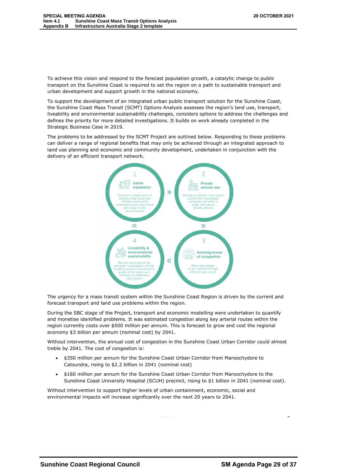To achieve this vision and respond to the forecast population growth, a catalytic change to public transport on the Sunshine Coast is required to set the region on a path to sustainable transport and urban development and support growth in the national economy.

To support the development of an integrated urban public transport solution for the Sunshine Coast, the Sunshine Coast Mass Transit (SCMT) Options Analysis assesses the region's land use, transport, liveability and environmental sustainability challenges, considers options to address the challenges and defines the priority for more detailed investigations. It builds on work already completed in the Strategic Business Case in 2019.

The problems to be addressed by the SCMT Project are outlined below. Responding to these problems can deliver a range of regional benefits that may only be achieved through an integrated approach to land use planning and economic and community development, undertaken in conjunction with the delivery of an efficient transport network.



The urgency for a mass transit system within the Sunshine Coast Region is driven by the current and forecast transport and land use problems within the region.

During the SBC stage of the Project, transport and economic modelling were undertaken to quantify and monetise identified problems. It was estimated congestion along key arterial routes within the region currently costs over \$500 million per annum. This is forecast to grow and cost the regional economy \$3 billion per annum (nominal cost) by 2041.

Without intervention, the annual cost of congestion in the Sunshine Coast Urban Corridor could almost treble by 2041. The cost of congestion is:

- \$350 million per annum for the Sunshine Coast Urban Corridor from Maroochydore to Caloundra, rising to \$2.2 billion in 2041 (nominal cost)
- \$160 million per annum for the Sunshine Coast Urban Corridor from Maroochydore to the Sunshine Coast University Hospital (SCUH) precinct, rising to \$1 billion in 2041 (nominal cost).

Without intervention to support higher levels of urban containment, economic, social and environmental impacts will increase significantly over the next 20 years to 2041.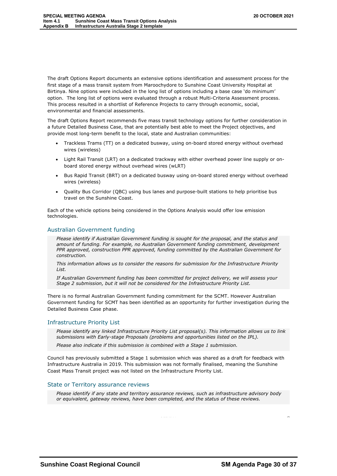The draft Options Report documents an extensive options identification and assessment process for the first stage of a mass transit system from Maroochydore to Sunshine Coast University Hospital at Birtinya. Nine options were included in the long list of options including a base case 'do minimum' option. The long list of options were evaluated through a robust Multi-Criteria Assessment process. This process resulted in a shortlist of Reference Projects to carry through economic, social, environmental and financial assessments.

The draft Options Report recommends five mass transit technology options for further consideration in a future Detailed Business Case, that are potentially best able to meet the Project objectives, and provide most long-term benefit to the local, state and Australian communities:

- Trackless Trams (TT) on a dedicated busway, using on-board stored energy without overhead wires (wireless)
- Light Rail Transit (LRT) on a dedicated trackway with either overhead power line supply or onboard stored energy without overhead wires (wLRT)
- Bus Rapid Transit (BRT) on a dedicated busway using on-board stored energy without overhead wires (wireless)
- Quality Bus Corridor (QBC) using bus lanes and purpose-built stations to help prioritise bus travel on the Sunshine Coast.

Each of the vehicle options being considered in the Options Analysis would offer low emission technologies.

#### Australian Government funding

*Please identify if Australian Government funding is sought for the proposal, and the status and amount of funding. For example, no Australian Government funding commitment, development PPR approved, construction PPR approved, funding committed by the Australian Government for construction.*

*This information allows us to consider the reasons for submission for the Infrastructure Priority List.* 

*If Australian Government funding has been committed for project delivery, we will assess your Stage 2 submission, but it will not be considered for the Infrastructure Priority List.*

There is no formal Australian Government funding commitment for the SCMT. However Australian Government funding for SCMT has been identified as an opportunity for further investigation during the Detailed Business Case phase.

#### Infrastructure Priority List

*Please identify any linked Infrastructure Priority List proposal(s). This information allows us to link submissions with Early-stage Proposals (problems and opportunities listed on the IPL).* 

*Please also indicate if this submission is combined with a Stage 1 submission.*

Council has previously submitted a Stage 1 submission which was shared as a draft for feedback with Infrastructure Australia in 2019. This submission was not formally finalised, meaning the Sunshine Coast Mass Transit project was not listed on the Infrastructure Priority List.

#### State or Territory assurance reviews

*Please identify if any state and territory assurance reviews, such as infrastructure advisory body or equivalent, gateway reviews, have been completed, and the status of these reviews.*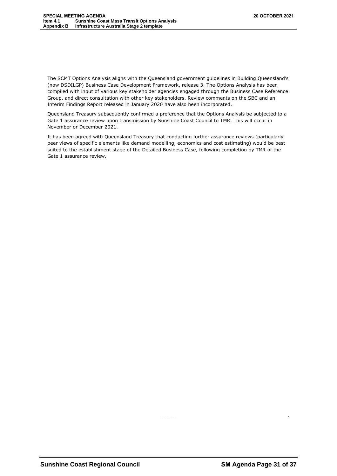The SCMT Options Analysis aligns with the Queensland government guidelines in Building Queensland's (now DSDILGP) Business Case Development Framework, release 3. The Options Analysis has been compiled with input of various key stakeholder agencies engaged through the Business Case Reference Group, and direct consultation with other key stakeholders. Review comments on the SBC and an Interim Findings Report released in January 2020 have also been incorporated.

Queensland Treasury subsequently confirmed a preference that the Options Analysis be subjected to a Gate 1 assurance review upon transmission by Sunshine Coast Council to TMR. This will occur in November or December 2021.

It has been agreed with Queensland Treasury that conducting further assurance reviews (particularly peer views of specific elements like demand modelling, economics and cost estimating) would be best suited to the establishment stage of the Detailed Business Case, following completion by TMR of the Gate 1 assurance review.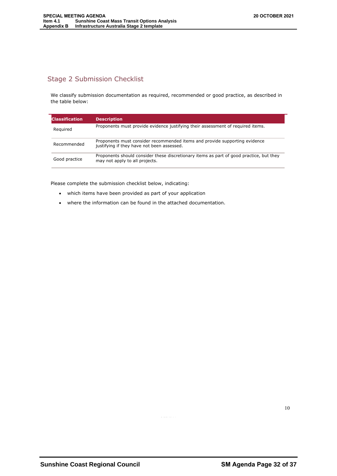#### Stage 2 Submission Checklist

We classify submission documentation as required, recommended or good practice, as described in the table below:

| Classification | <b>Description</b>                                                                                                        |
|----------------|---------------------------------------------------------------------------------------------------------------------------|
| Required       | Proponents must provide evidence justifying their assessment of required items.                                           |
| Recommended    | Proponents must consider recommended items and provide supporting evidence<br>justifying if they have not been assessed.  |
| Good practice  | Proponents should consider these discretionary items as part of good practice, but they<br>may not apply to all projects. |

Please complete the submission checklist below, indicating:

- which items have been provided as part of your application
- where the information can be found in the attached documentation.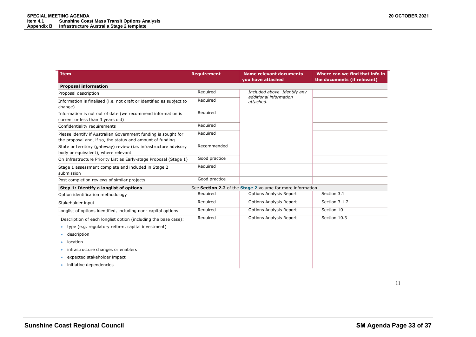| <b>Item</b>                                                                                                                  | <b>Requirement</b> | <b>Name relevant documents</b><br>you have attached        | Where can we find that info in<br>the documents (if relevant) |
|------------------------------------------------------------------------------------------------------------------------------|--------------------|------------------------------------------------------------|---------------------------------------------------------------|
| <b>Proposal information</b>                                                                                                  |                    |                                                            |                                                               |
| Proposal description                                                                                                         | Required           | Included above. Identify any                               |                                                               |
| Information is finalised (i.e. not draft or identified as subject to<br>change)                                              | Required           | additional information<br>attached.                        |                                                               |
| Information is not out of date (we recommend information is<br>current or less than 3 years old)                             | Required           |                                                            |                                                               |
| Confidentiality requirements                                                                                                 | Required           |                                                            |                                                               |
| Please identify if Australian Government funding is sought for<br>the proposal and, if so, the status and amount of funding. | Required           |                                                            |                                                               |
| State or territory (gateway) review (i.e. infrastructure advisory<br>body or equivalent), where relevant                     | Recommended        |                                                            |                                                               |
| On Infrastructure Priority List as Early-stage Proposal (Stage 1)                                                            | Good practice      |                                                            |                                                               |
| Stage 1 assessment complete and included in Stage 2<br>submission                                                            | Required           |                                                            |                                                               |
| Post completion reviews of similar projects                                                                                  | Good practice      |                                                            |                                                               |
| Step 1: Identify a longlist of options                                                                                       |                    | See Section 2.2 of the Stage 2 volume for more information |                                                               |
| Option identification methodology                                                                                            | Required           | <b>Options Analysis Report</b>                             | Section 3.1                                                   |
| Stakeholder input                                                                                                            | Required           | <b>Options Analysis Report</b>                             | Section 3.1.2                                                 |
| Longlist of options identified, including non-capital options                                                                | Required           | <b>Options Analysis Report</b>                             | Section 10                                                    |
| Description of each longlist option (including the base case):                                                               | Required           | <b>Options Analysis Report</b>                             | Section 10.3                                                  |
| type (e.g. regulatory reform, capital investment)                                                                            |                    |                                                            |                                                               |
| description                                                                                                                  |                    |                                                            |                                                               |
| location                                                                                                                     |                    |                                                            |                                                               |
| infrastructure changes or enablers                                                                                           |                    |                                                            |                                                               |
| expected stakeholder impact                                                                                                  |                    |                                                            |                                                               |
| initiative dependencies                                                                                                      |                    |                                                            |                                                               |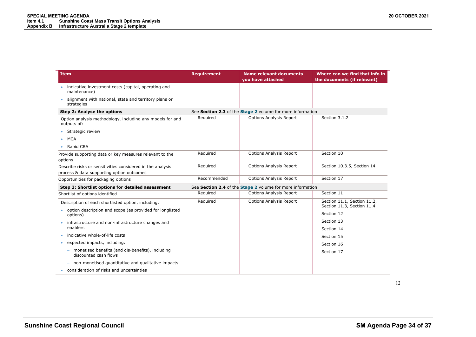| <b>Item</b>                                                               | <b>Requirement</b> | <b>Name relevant documents</b><br>you have attached        | Where can we find that info in<br>the documents (if relevant) |
|---------------------------------------------------------------------------|--------------------|------------------------------------------------------------|---------------------------------------------------------------|
| indicative investment costs (capital, operating and<br>maintenance)       |                    |                                                            |                                                               |
| alignment with national, state and territory plans or<br>strategies       |                    |                                                            |                                                               |
| Step 2: Analyse the options                                               |                    | See Section 2.3 of the Stage 2 volume for more information |                                                               |
| Option analysis methodology, including any models for and<br>outputs of:  | Required           | <b>Options Analysis Report</b>                             | Section 3.1.2                                                 |
| Strategic review                                                          |                    |                                                            |                                                               |
| <b>MCA</b>                                                                |                    |                                                            |                                                               |
| Rapid CBA<br>٠                                                            |                    |                                                            |                                                               |
| Provide supporting data or key measures relevant to the<br>options        | Required           | <b>Options Analysis Report</b>                             | Section 10                                                    |
| Describe risks or sensitivities considered in the analysis                | Required           | <b>Options Analysis Report</b>                             | Section 10.3.5, Section 14                                    |
| process & data supporting option outcomes                                 |                    |                                                            |                                                               |
| Opportunities for packaging options                                       | Recommended        | <b>Options Analysis Report</b>                             | Section 17                                                    |
| Step 3: Shortlist options for detailed assessment                         |                    | See Section 2.4 of the Stage 2 volume for more information |                                                               |
| Shortlist of options identified                                           | Required           | <b>Options Analysis Report</b>                             | Section 11                                                    |
| Description of each shortlisted option, including:                        | Required           | <b>Options Analysis Report</b>                             | Section 11.1, Section 11.2,<br>Section 11.3, Section 11.4     |
| option description and scope (as provided for longlisted<br>options)      |                    |                                                            | Section 12                                                    |
| infrastructure and non-infrastructure changes and                         |                    |                                                            | Section 13                                                    |
| enablers                                                                  |                    |                                                            | Section 14                                                    |
| indicative whole-of-life costs                                            |                    |                                                            | Section 15                                                    |
| expected impacts, including:                                              |                    |                                                            | Section 16                                                    |
| monetised benefits (and dis-benefits), including<br>discounted cash flows |                    |                                                            | Section 17                                                    |
| non-monetised quantitative and qualitative impacts                        |                    |                                                            |                                                               |
| consideration of risks and uncertainties<br>۰                             |                    |                                                            |                                                               |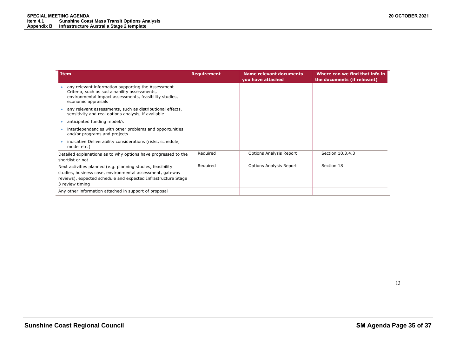| <b>Item</b>                                                                                                                                                                                                  | <b>Requirement</b> | <b>Name relevant documents</b><br>you have attached | Where can we find that info in<br>the documents (if relevant) |
|--------------------------------------------------------------------------------------------------------------------------------------------------------------------------------------------------------------|--------------------|-----------------------------------------------------|---------------------------------------------------------------|
| any relevant information supporting the Assessment<br>Criteria, such as sustainability assessments,<br>environmental impact assessments, feasibility studies,<br>economic appraisals                         |                    |                                                     |                                                               |
| any relevant assessments, such as distributional effects,<br>sensitivity and real options analysis, if available                                                                                             |                    |                                                     |                                                               |
| anticipated funding model/s                                                                                                                                                                                  |                    |                                                     |                                                               |
| interdependencies with other problems and opportunities<br>and/or programs and projects                                                                                                                      |                    |                                                     |                                                               |
| indicative Deliverability considerations (risks, schedule,<br>model etc.)                                                                                                                                    |                    |                                                     |                                                               |
| Detailed explanations as to why options have progressed to the<br>shortlist or not                                                                                                                           | Required           | <b>Options Analysis Report</b>                      | Section 10.3.4.3                                              |
| Next activities planned (e.g. planning studies, feasibility<br>studies, business case, environmental assessment, gateway<br>reviews), expected schedule and expected Infrastructure Stage<br>3 review timing | Reguired           | <b>Options Analysis Report</b>                      | Section 18                                                    |
| Any other information attached in support of proposal                                                                                                                                                        |                    |                                                     |                                                               |